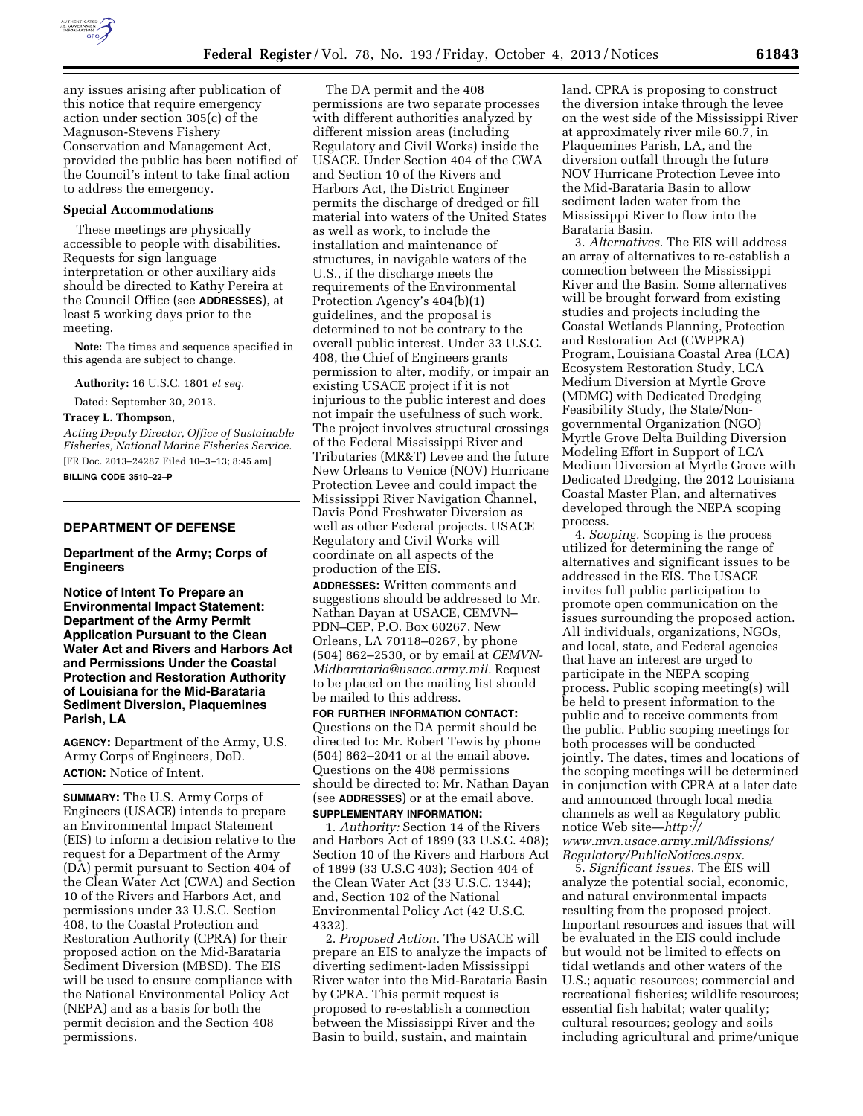

any issues arising after publication of this notice that require emergency action under section 305(c) of the Magnuson-Stevens Fishery Conservation and Management Act, provided the public has been notified of the Council's intent to take final action to address the emergency.

#### **Special Accommodations**

These meetings are physically accessible to people with disabilities. Requests for sign language interpretation or other auxiliary aids should be directed to Kathy Pereira at the Council Office (see **ADDRESSES**), at least 5 working days prior to the meeting.

**Note:** The times and sequence specified in this agenda are subject to change.

**Authority:** 16 U.S.C. 1801 *et seq.* 

Dated: September 30, 2013.

#### **Tracey L. Thompson,**

*Acting Deputy Director, Office of Sustainable Fisheries, National Marine Fisheries Service.*  [FR Doc. 2013–24287 Filed 10–3–13; 8:45 am] **BILLING CODE 3510–22–P** 

#### **DEPARTMENT OF DEFENSE**

### **Department of the Army; Corps of Engineers**

**Notice of Intent To Prepare an Environmental Impact Statement: Department of the Army Permit Application Pursuant to the Clean Water Act and Rivers and Harbors Act and Permissions Under the Coastal Protection and Restoration Authority of Louisiana for the Mid-Barataria Sediment Diversion, Plaquemines Parish, LA** 

**AGENCY:** Department of the Army, U.S. Army Corps of Engineers, DoD. **ACTION:** Notice of Intent.

**SUMMARY:** The U.S. Army Corps of Engineers (USACE) intends to prepare an Environmental Impact Statement (EIS) to inform a decision relative to the request for a Department of the Army (DA) permit pursuant to Section 404 of the Clean Water Act (CWA) and Section 10 of the Rivers and Harbors Act, and permissions under 33 U.S.C. Section 408, to the Coastal Protection and Restoration Authority (CPRA) for their proposed action on the Mid-Barataria Sediment Diversion (MBSD). The EIS will be used to ensure compliance with the National Environmental Policy Act (NEPA) and as a basis for both the permit decision and the Section 408 permissions.

The DA permit and the 408 permissions are two separate processes with different authorities analyzed by different mission areas (including Regulatory and Civil Works) inside the USACE. Under Section 404 of the CWA and Section 10 of the Rivers and Harbors Act, the District Engineer permits the discharge of dredged or fill material into waters of the United States as well as work, to include the installation and maintenance of structures, in navigable waters of the U.S., if the discharge meets the requirements of the Environmental Protection Agency's 404(b)(1) guidelines, and the proposal is determined to not be contrary to the overall public interest. Under 33 U.S.C. 408, the Chief of Engineers grants permission to alter, modify, or impair an existing USACE project if it is not injurious to the public interest and does not impair the usefulness of such work. The project involves structural crossings of the Federal Mississippi River and Tributaries (MR&T) Levee and the future New Orleans to Venice (NOV) Hurricane Protection Levee and could impact the Mississippi River Navigation Channel, Davis Pond Freshwater Diversion as well as other Federal projects. USACE Regulatory and Civil Works will coordinate on all aspects of the production of the EIS.

**ADDRESSES:** Written comments and suggestions should be addressed to Mr. Nathan Dayan at USACE, CEMVN– PDN–CEP, P.O. Box 60267, New Orleans, LA 70118–0267, by phone (504) 862–2530, or by email at *[CEMVN-](mailto:CEMVN-Midbarataria@usace.army.mil)[Midbarataria@usace.army.mil.](mailto:CEMVN-Midbarataria@usace.army.mil)* Request to be placed on the mailing list should be mailed to this address.

**FOR FURTHER INFORMATION CONTACT:**  Questions on the DA permit should be directed to: Mr. Robert Tewis by phone (504) 862–2041 or at the email above. Questions on the 408 permissions should be directed to: Mr. Nathan Dayan (see **ADDRESSES**) or at the email above. **SUPPLEMENTARY INFORMATION:** 

1. *Authority:* Section 14 of the Rivers and Harbors Act of 1899 (33 U.S.C. 408); Section 10 of the Rivers and Harbors Act of 1899 (33 U.S.C 403); Section 404 of the Clean Water Act (33 U.S.C. 1344); and, Section 102 of the National Environmental Policy Act (42 U.S.C. 4332).

2. *Proposed Action.* The USACE will prepare an EIS to analyze the impacts of diverting sediment-laden Mississippi River water into the Mid-Barataria Basin by CPRA. This permit request is proposed to re-establish a connection between the Mississippi River and the Basin to build, sustain, and maintain

land. CPRA is proposing to construct the diversion intake through the levee on the west side of the Mississippi River at approximately river mile 60.7, in Plaquemines Parish, LA, and the diversion outfall through the future NOV Hurricane Protection Levee into the Mid-Barataria Basin to allow sediment laden water from the Mississippi River to flow into the Barataria Basin.

3. *Alternatives.* The EIS will address an array of alternatives to re-establish a connection between the Mississippi River and the Basin. Some alternatives will be brought forward from existing studies and projects including the Coastal Wetlands Planning, Protection and Restoration Act (CWPPRA) Program, Louisiana Coastal Area (LCA) Ecosystem Restoration Study, LCA Medium Diversion at Myrtle Grove (MDMG) with Dedicated Dredging Feasibility Study, the State/Nongovernmental Organization (NGO) Myrtle Grove Delta Building Diversion Modeling Effort in Support of LCA Medium Diversion at Myrtle Grove with Dedicated Dredging, the 2012 Louisiana Coastal Master Plan, and alternatives developed through the NEPA scoping process.

4. *Scoping.* Scoping is the process utilized for determining the range of alternatives and significant issues to be addressed in the EIS. The USACE invites full public participation to promote open communication on the issues surrounding the proposed action. All individuals, organizations, NGOs, and local, state, and Federal agencies that have an interest are urged to participate in the NEPA scoping process. Public scoping meeting(s) will be held to present information to the public and to receive comments from the public. Public scoping meetings for both processes will be conducted jointly. The dates, times and locations of the scoping meetings will be determined in conjunction with CPRA at a later date and announced through local media channels as well as Regulatory public notice Web site—*[http://](http://www.mvn.usace.army.mil/Missions/Regulatory/PublicNotices.aspx) [www.mvn.usace.army.mil/Missions/](http://www.mvn.usace.army.mil/Missions/Regulatory/PublicNotices.aspx) [Regulatory/PublicNotices.aspx.](http://www.mvn.usace.army.mil/Missions/Regulatory/PublicNotices.aspx)* 

5. *Significant issues.* The EIS will analyze the potential social, economic, and natural environmental impacts resulting from the proposed project. Important resources and issues that will be evaluated in the EIS could include but would not be limited to effects on tidal wetlands and other waters of the U.S.; aquatic resources; commercial and recreational fisheries; wildlife resources; essential fish habitat; water quality; cultural resources; geology and soils including agricultural and prime/unique